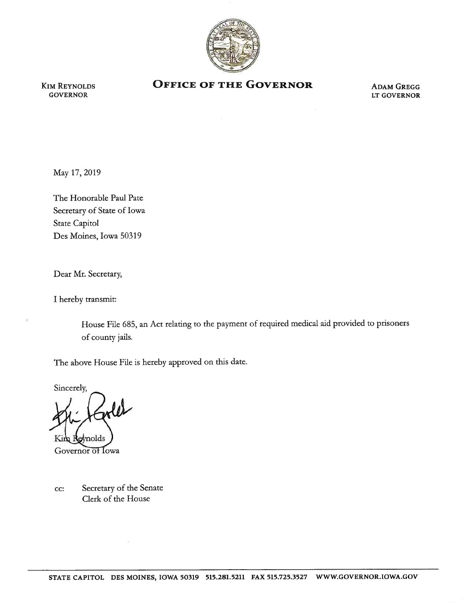

KIM REYNOLDS **GOVERNOR** 

## **OFFICE OF THE GOVERNOR** ADAM GREGG

LT GOVERNOR

May17,2019

The Honorable Paul Pate Secretary of State of Iowa State Capitol Des Moines, Iowa 50319

Dear Mr. Secretary,

I hereby transmit:

House File 685, an Act relating to the payment of required medical aid provided to prisoners of county jails.

The above House File is hereby approved on this date.

Sincerely,

 $\omega$ 

Governor of Iowa

cc: Secretary of the Senate Clerk of the House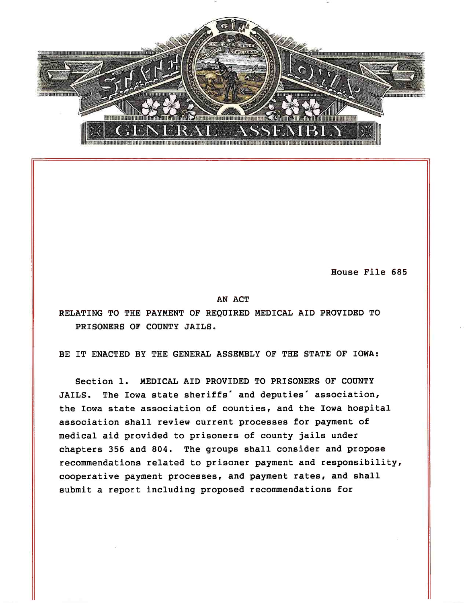

House File 685

AN ACT

RELATING TO THE PAYMENT OF REQUIRED MEDICAL AID PROVIDED TO PRISONERS OF COUNTY JAILS.

BE IT ENACTED BY THE GENERAL ASSEMBLY OF THE STATE OF IOWA:

Section 1. MEDICAL AID PROVIDED TO PRISONERS OF COUNTY JAILS. The Iowa state sheriffs' and deputies' association, the Iowa state association of counties, and the Iowa hospital association shall review current processes for payment of medical aid provided to prisoners of county jails under chapters 356 and 804. The groups shall consider and propose recommendations related to prisoner payment and responsibility, cooperative payment processes, and payment rates, and shall submit a report including proposed recommendations for